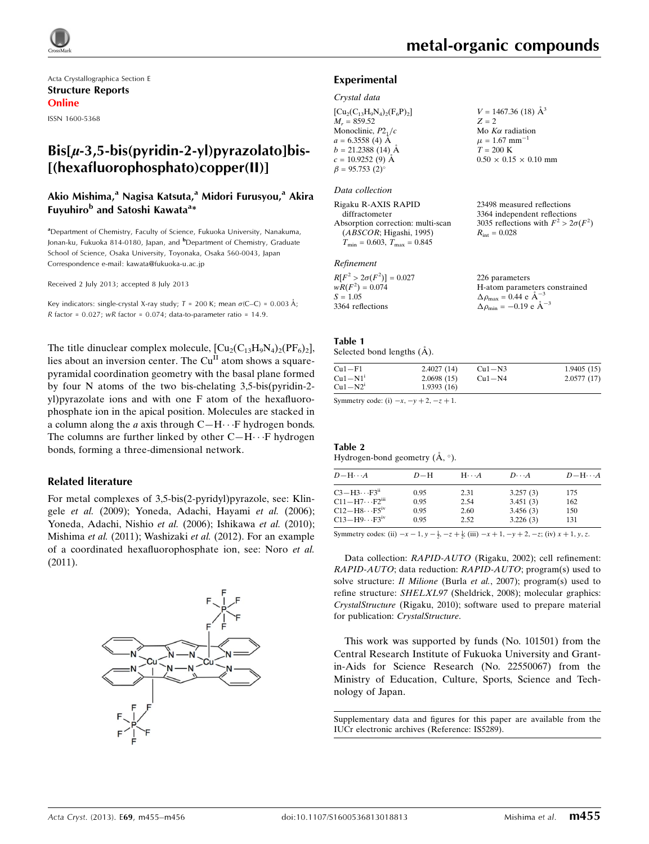

Acta Crystallographica Section E Structure Reports Online

ISSN 1600-5368

# $Bis[\mu-3,5-bis(pyridin-2-y])$ pyrazolato]bis-[(hexafluorophosphato)copper(II)]

### Akio Mishima,<sup>a</sup> Nagisa Katsuta,<sup>a</sup> Midori Furusyou,<sup>a</sup> Akira Fuyuhiro<sup>b</sup> and Satoshi Kawata<sup>a</sup>\*

<sup>a</sup>Department of Chemistry, Faculty of Science, Fukuoka University, Nanakuma, Jonan-ku, Fukuoka 814-0180, Japan, and <sup>b</sup>Department of Chemistry, Graduate School of Science, Osaka University, Toyonaka, Osaka 560-0043, Japan Correspondence e-mail: [kawata@fukuoka-u.ac.jp](https://scripts.iucr.org/cgi-bin/cr.cgi?rm=pdfbb&cnor=is5289&bbid=BB12)

Received 2 July 2013; accepted 8 July 2013

Key indicators: single-crystal X-ray study;  $T = 200$  K; mean  $\sigma$ (C–C) = 0.003 Å; R factor =  $0.027$ ; wR factor =  $0.074$ ; data-to-parameter ratio = 14.9.

The title dinuclear complex molecule,  $\text{[Cu}_2\text{(C}_{13}\text{H}_9\text{N}_4)_2\text{(PF}_6)_2\text{]},$ lies about an inversion center. The Cu<sup>II</sup> atom shows a squarepyramidal coordination geometry with the basal plane formed by four N atoms of the two bis-chelating 3,5-bis(pyridin-2 yl)pyrazolate ions and with one F atom of the hexafluorophosphate ion in the apical position. Molecules are stacked in a column along the  $a$  axis through  $C-H \cdots F$  hydrogen bonds. The columns are further linked by other  $C-H \cdots F$  hydrogen bonds, forming a three-dimensional network.

#### Related literature

For metal complexes of 3,5-bis(2-pyridyl)pyrazole, see: Klingele et al. (2009); Yoneda, Adachi, Hayami et al. (2006); Yoneda, Adachi, Nishio et al. (2006); Ishikawa et al. (2010); Mishima et al. (2011); Washizaki et al. (2012). For an example of a coordinated hexafluorophosphate ion, see: Noro et al. (2011).



 $V = 1467.36$  (18)  $\AA^3$ 

 $0.50 \times 0.15 \times 0.10$  mm

23498 measured reflections 3364 independent reflections 3035 reflections with  $F^2 > 2\sigma(F^2)$ 

 $Z = 2$ Mo  $K\alpha$  radiation  $\mu = 1.67$  mm<sup>-1</sup>  $T = 200 \text{ K}$ 

 $R_{\text{int}} = 0.028$ 

#### Experimental

#### Crystal data

 $[Cu_2(C_{13}H_9N_4)_2(F_6P)_2]$  $M_r = 859.52$ Monoclinic,  $P2<sub>1</sub>/c$  $a = 6.3558$  (4) Å  $b = 21.2388(14)$  Å  $c = 10.9252(9)$  Å  $\beta = 95.753(2)$ 

#### Data collection

Rigaku R-AXIS RAPID diffractometer Absorption correction: multi-scan (ABSCOR; Higashi, 1995)  $T_{\text{min}} = 0.603$ ,  $T_{\text{max}} = 0.845$ 

#### Refinement

| $R[F^2 > 2\sigma(F^2)] = 0.027$ | 226 parameters                                     |
|---------------------------------|----------------------------------------------------|
| $wR(F^2) = 0.074$               | H-atom parameters constrained                      |
| $S = 1.05$                      | $\Delta \rho_{\text{max}} = 0.44 \text{ e A}^{-3}$ |
| 3364 reflections                | $\Delta \rho_{\text{min}} = -0.19$ e $\AA^{-3}$    |

#### Table 1 Selected bond lengths  $(\AA)$ .

| $Cu1-F1$              | 2.4027(14) | $Cu1-N3$   | 1.9405(15) |
|-----------------------|------------|------------|------------|
| $Cu1-N1$ <sup>1</sup> | 2.0698(15) | $Cu1 - N4$ | 2.0577(17) |
| $Cu1-N21$             | 1.9393(16) |            |            |

Symmetry code: (i)  $-x$ ,  $-y + 2$ ,  $-z + 1$ .

#### Table 2 Hydrogen-bond geometry  $(A, \circ)$ .

| $D - H \cdots A$                    | $D-H$ | $H\cdots A$ | $D\cdots A$ | $D - H \cdots A$ |
|-------------------------------------|-------|-------------|-------------|------------------|
| $C3-H3 \cdots F3$ <sup>ii</sup>     | 0.95  | 2.31        | 3.257(3)    | 175              |
| $C11 - H7 \cdots F2$ <sup>iii</sup> | 0.95  | 2.54        | 3.451(3)    | 162              |
| $C12-H8\cdots F5$ <sup>iv</sup>     | 0.95  | 2.60        | 3.456(3)    | 150              |
| $C13-H9\cdots F3^{\rm iv}$          | 0.95  | 2.52        | 3.226(3)    | 131              |
|                                     |       |             |             |                  |

Symmetry codes: (ii)  $-x-1$ ,  $y - \frac{1}{2}$ ,  $-z + \frac{1}{2}$ ; (iii)  $-x+1$ ,  $-y+2$ ,  $-z$ ; (iv)  $x + 1$ ,  $y$ ,  $z$ .

Data collection: RAPID-AUTO (Rigaku, 2002); cell refinement: RAPID-AUTO; data reduction: RAPID-AUTO; program(s) used to solve structure: *Il Milione* (Burla *et al.*, 2007); program(s) used to refine structure: SHELXL97 (Sheldrick, 2008); molecular graphics: CrystalStructure (Rigaku, 2010); software used to prepare material for publication: CrystalStructure.

This work was supported by funds (No. 101501) from the Central Research Institute of Fukuoka University and Grantin-Aids for Science Research (No. 22550067) from the Ministry of Education, Culture, Sports, Science and Technology of Japan.

Supplementary data and figures for this paper are available from the IUCr electronic archives (Reference: IS5289).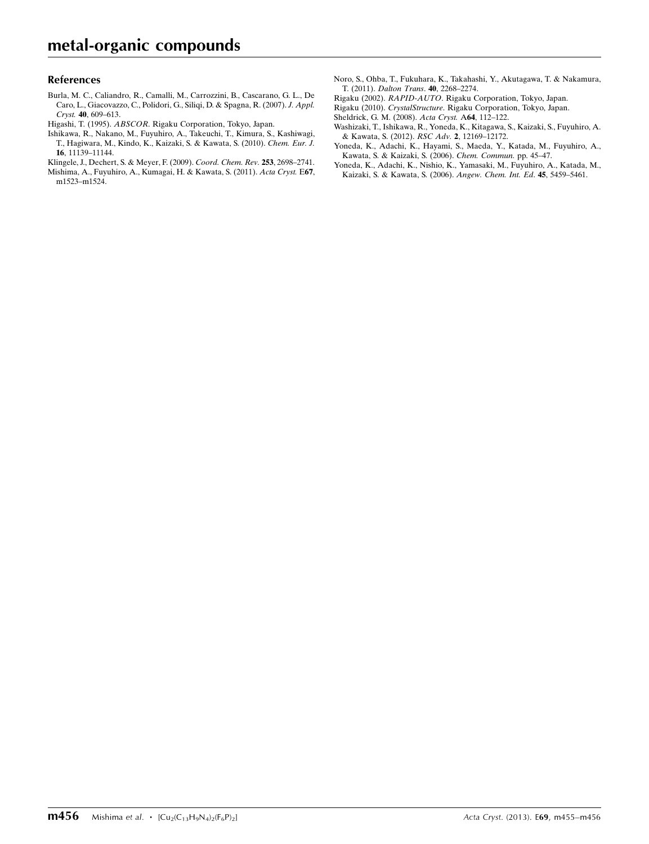#### References

- [Burla, M. C., Caliandro, R., Camalli, M., Carrozzini, B., Cascarano, G. L., De](https://scripts.iucr.org/cgi-bin/cr.cgi?rm=pdfbb&cnor=is5289&bbid=BB1) [Caro, L., Giacovazzo, C., Polidori, G., Siliqi, D. & Spagna, R. \(2007\).](https://scripts.iucr.org/cgi-bin/cr.cgi?rm=pdfbb&cnor=is5289&bbid=BB1) J. Appl. Cryst. 40[, 609–613.](https://scripts.iucr.org/cgi-bin/cr.cgi?rm=pdfbb&cnor=is5289&bbid=BB1)
- Higashi, T. (1995). ABSCOR[. Rigaku Corporation, Tokyo, Japan.](https://scripts.iucr.org/cgi-bin/cr.cgi?rm=pdfbb&cnor=is5289&bbid=BB2)
- [Ishikawa, R., Nakano, M., Fuyuhiro, A., Takeuchi, T., Kimura, S., Kashiwagi,](https://scripts.iucr.org/cgi-bin/cr.cgi?rm=pdfbb&cnor=is5289&bbid=BB3) [T., Hagiwara, M., Kindo, K., Kaizaki, S. & Kawata, S. \(2010\).](https://scripts.iucr.org/cgi-bin/cr.cgi?rm=pdfbb&cnor=is5289&bbid=BB3) Chem. Eur. J. 16[, 11139–11144.](https://scripts.iucr.org/cgi-bin/cr.cgi?rm=pdfbb&cnor=is5289&bbid=BB3)
- [Klingele, J., Dechert, S. & Meyer, F. \(2009\).](https://scripts.iucr.org/cgi-bin/cr.cgi?rm=pdfbb&cnor=is5289&bbid=BB4) Coord. Chem. Rev. 253, 2698–2741.
- [Mishima, A., Fuyuhiro, A., Kumagai, H. & Kawata, S. \(2011\).](https://scripts.iucr.org/cgi-bin/cr.cgi?rm=pdfbb&cnor=is5289&bbid=BB5) Acta Cryst. E67, [m1523–m1524.](https://scripts.iucr.org/cgi-bin/cr.cgi?rm=pdfbb&cnor=is5289&bbid=BB5)
- [Noro, S., Ohba, T., Fukuhara, K., Takahashi, Y., Akutagawa, T. & Nakamura,](https://scripts.iucr.org/cgi-bin/cr.cgi?rm=pdfbb&cnor=is5289&bbid=BB6) T. (2011). [Dalton Trans](https://scripts.iucr.org/cgi-bin/cr.cgi?rm=pdfbb&cnor=is5289&bbid=BB6). 40, 2268–2274.
- Rigaku (2002). RAPID-AUTO[. Rigaku Corporation, Tokyo, Japan.](https://scripts.iucr.org/cgi-bin/cr.cgi?rm=pdfbb&cnor=is5289&bbid=BB7)
- Rigaku (2010). CrystalStructure[. Rigaku Corporation, Tokyo, Japan.](https://scripts.iucr.org/cgi-bin/cr.cgi?rm=pdfbb&cnor=is5289&bbid=BB8)
- [Sheldrick, G. M. \(2008\).](https://scripts.iucr.org/cgi-bin/cr.cgi?rm=pdfbb&cnor=is5289&bbid=BB9) Acta Cryst. A64, 112–122.
- [Washizaki, T., Ishikawa, R., Yoneda, K., Kitagawa, S., Kaizaki, S., Fuyuhiro, A.](https://scripts.iucr.org/cgi-bin/cr.cgi?rm=pdfbb&cnor=is5289&bbid=BB10) [& Kawata, S. \(2012\).](https://scripts.iucr.org/cgi-bin/cr.cgi?rm=pdfbb&cnor=is5289&bbid=BB10) RSC Adv. 2, 12169–12172.
- [Yoneda, K., Adachi, K., Hayami, S., Maeda, Y., Katada, M., Fuyuhiro, A.,](https://scripts.iucr.org/cgi-bin/cr.cgi?rm=pdfbb&cnor=is5289&bbid=BB11) [Kawata, S. & Kaizaki, S. \(2006\).](https://scripts.iucr.org/cgi-bin/cr.cgi?rm=pdfbb&cnor=is5289&bbid=BB11) Chem. Commun. pp. 45–47.
- [Yoneda, K., Adachi, K., Nishio, K., Yamasaki, M., Fuyuhiro, A., Katada, M.,](https://scripts.iucr.org/cgi-bin/cr.cgi?rm=pdfbb&cnor=is5289&bbid=BB12) [Kaizaki, S. & Kawata, S. \(2006\).](https://scripts.iucr.org/cgi-bin/cr.cgi?rm=pdfbb&cnor=is5289&bbid=BB12) Angew. Chem. Int. Ed. 45, 5459–5461.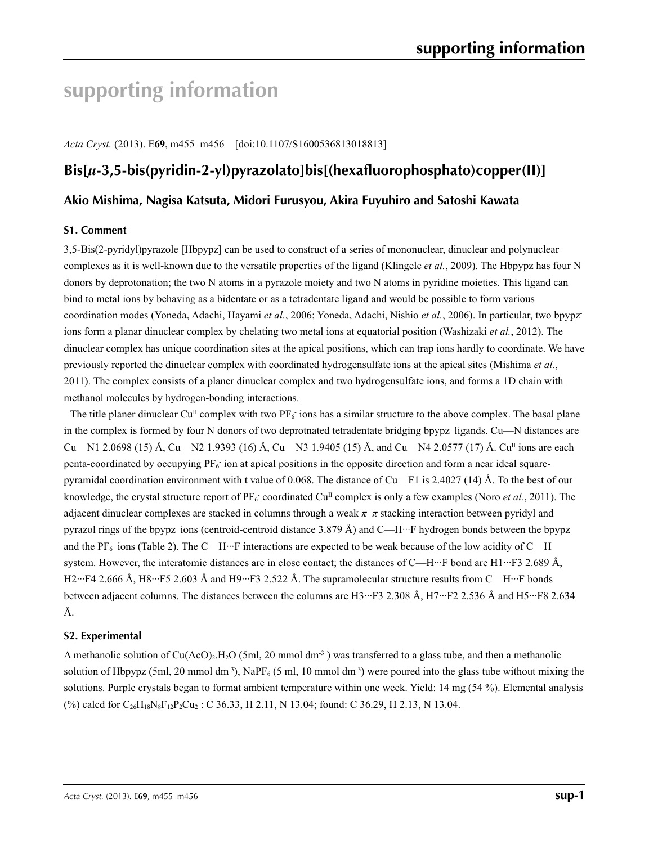# **supporting information**

*Acta Cryst.* (2013). E**69**, m455–m456 [doi:10.1107/S1600536813018813]

# **Bis[***µ***-3,5-bis(pyridin-2-yl)pyrazolato]bis[(hexafluorophosphato)copper(II)]**

## **Akio Mishima, Nagisa Katsuta, Midori Furusyou, Akira Fuyuhiro and Satoshi Kawata**

#### **S1. Comment**

3,5-Bis(2-pyridyl)pyrazole [Hbpypz] can be used to construct of a series of mononuclear, dinuclear and polynuclear complexes as it is well-known due to the versatile properties of the ligand (Klingele *et al.*, 2009). The Hbpypz has four N donors by deprotonation; the two N atoms in a pyrazole moiety and two N atoms in pyridine moieties. This ligand can bind to metal ions by behaving as a bidentate or as a tetradentate ligand and would be possible to form various coordination modes (Yoneda, Adachi, Hayami *et al.*, 2006; Yoneda, Adachi, Nishio *et al.*, 2006). In particular, two bpypzions form a planar dinuclear complex by chelating two metal ions at equatorial position (Washizaki *et al.*, 2012). The dinuclear complex has unique coordination sites at the apical positions, which can trap ions hardly to coordinate. We have previously reported the dinuclear complex with coordinated hydrogensulfate ions at the apical sites (Mishima *et al.*, 2011). The complex consists of a planer dinuclear complex and two hydrogensulfate ions, and forms a 1D chain with methanol molecules by hydrogen-bonding interactions.

The title planer dinuclear Cu<sup>II</sup> complex with two  $PF_6$  ions has a similar structure to the above complex. The basal plane in the complex is formed by four N donors of two deprotnated tetradentate bridging bpypz ligands. Cu—N distances are Cu—N1 2.0698 (15) Å, Cu—N2 1.9393 (16) Å, Cu—N3 1.9405 (15) Å, and Cu—N4 2.0577 (17) Å. Cu<sup>II</sup> ions are each penta-coordinated by occupying  $PF_6$  ion at apical positions in the opposite direction and form a near ideal squarepyramidal coordination environment with t value of 0.068. The distance of Cu—F1 is 2.4027 (14) Å. To the best of our knowledge, the crystal structure report of  $PF_6$  coordinated Cu<sup>n</sup> complex is only a few examples (Noro *et al.*, 2011). The adjacent dinuclear complexes are stacked in columns through a weak *π*–*π* stacking interaction between pyridyl and pyrazol rings of the bpypz-jons (centroid-centroid distance 3.879 Å) and C—H···F hydrogen bonds between the bpypzand the PF<sub>6</sub> ions (Table 2). The C—H<sup> $...$ </sup>F interactions are expected to be weak because of the low acidity of C—H system. However, the interatomic distances are in close contact; the distances of C—H···F bond are H1···F3 2.689 Å, H2···F4 2.666 Å, H8···F5 2.603 Å and H9···F3 2.522 Å. The supramolecular structure results from C—H···F bonds between adjacent columns. The distances between the columns are H3···F3 2.308 Å, H7···F2 2.536 Å and H5···F8 2.634 Å.

#### **S2. Experimental**

A methanolic solution of Cu(AcO)<sub>2</sub>.H<sub>2</sub>O (5ml, 20 mmol dm<sup>-3</sup>) was transferred to a glass tube, and then a methanolic solution of Hbpypz (5ml, 20 mmol dm<sup>-3</sup>), NaPF<sub>6</sub> (5 ml, 10 mmol dm<sup>-3</sup>) were poured into the glass tube without mixing the solutions. Purple crystals began to format ambient temperature within one week. Yield: 14 mg (54 %). Elemental analysis (%) calcd for  $C_{26}H_{18}N_8F_{12}P_2Cu_2$ : C 36.33, H 2.11, N 13.04; found: C 36.29, H 2.13, N 13.04.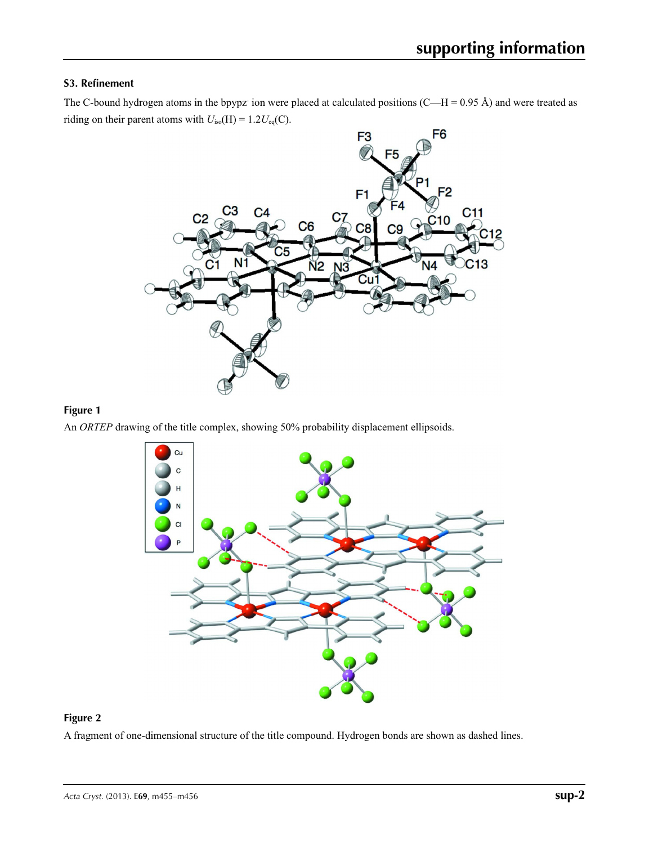#### **S3. Refinement**

The C-bound hydrogen atoms in the bpypz ion were placed at calculated positions  $(C-H = 0.95 \text{ Å})$  and were treated as riding on their parent atoms with  $U_{iso}(H) = 1.2U_{eq}(C)$ .



### **Figure 1**

An *ORTEP* drawing of the title complex, showing 50% probability displacement ellipsoids.



#### **Figure 2**

A fragment of one-dimensional structure of the title compound. Hydrogen bonds are shown as dashed lines.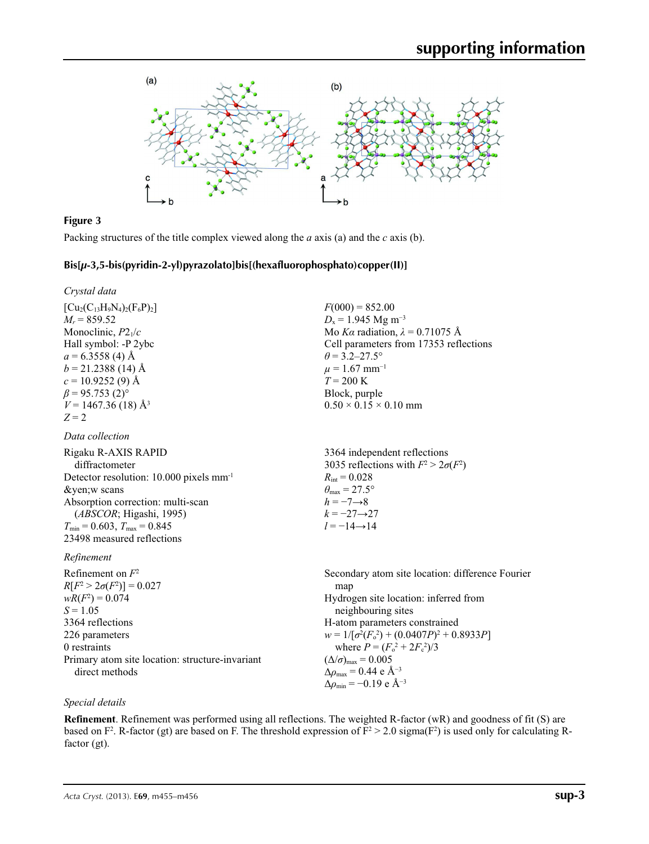

## **Figure 3**

Packing structures of the title complex viewed along the *a* axis (a) and the *c* axis (b).

#### **Bis[***µ***-3,5-bis(pyridin-2-yl)pyrazolato]bis[(hexafluorophosphato)copper(II)]**

*Crystal data*

| $[Cu_{2}(C_{13}H_{9}N_{4})_{2}(F_{6}P_{2})]$ |
|----------------------------------------------|
| $M_r = 859.52$                               |
| Monoclinic, $P2_1/c$                         |
| Hall symbol: -P 2ybc                         |
| $a = 6.3558(4)$ Å                            |
| $b = 21.2388(14)$ Å                          |
| $c = 10.9252(9)$ Å                           |
| $\beta$ = 95.753 (2) <sup>o</sup>            |
| $V = 1467.36(18)$ Å <sup>3</sup>             |
| $Z = 2$                                      |

#### *Data collection*

Rigaku R-AXIS RAPID diffractometer Detector resolution: 10.000 pixels mm-1 ¥w scans Absorption correction: multi-scan (*ABSCOR*; Higashi, 1995)  $T_{\text{min}} = 0.603$ ,  $T_{\text{max}} = 0.845$ 23498 measured reflections  $R_{\text{int}} = 0.028$  $\theta_{\text{max}} = 27.5^{\circ}$  $h = -7 \rightarrow 8$  $k = -27 \rightarrow 27$  $l = -14 \rightarrow 14$ 

#### *Refinement*

Refinement on *F*<sup>2</sup>  $R[F^2 > 2\sigma(F^2)] = 0.027$  $wR(F^2) = 0.074$  $S = 1.05$ 3364 reflections 226 parameters 0 restraints Primary atom site location: structure-invariant direct methods

 $F(000) = 852.00$  $D_x = 1.945$  Mg m<sup>-3</sup> Mo *Kα* radiation,  $\lambda = 0.71075$  Å Cell parameters from 17353 reflections  $\theta$  = 3.2–27.5°  $\mu$  = 1.67 mm<sup>-1</sup>  $T = 200 \text{ K}$ Block, purple  $0.50 \times 0.15 \times 0.10$  mm

3364 independent reflections 3035 reflections with  $F^2 > 2\sigma(F^2)$ 

Secondary atom site location: difference Fourier map Hydrogen site location: inferred from neighbouring sites H-atom parameters constrained  $w = 1/[\sigma^2 (F_o^2) + (0.0407P)^2 + 0.8933P]$ where  $P = (F_o^2 + 2F_c^2)/3$  $(\Delta/\sigma)_{\text{max}} = 0.005$  $\Delta \rho_{\rm max} = 0.44$  e Å<sup>-3</sup>  $\Delta\rho_{\text{min}} = -0.19$  e Å<sup>-3</sup>

#### *Special details*

**Refinement**. Refinement was performed using all reflections. The weighted R-factor (wR) and goodness of fit (S) are based on  $F^2$ . R-factor (gt) are based on F. The threshold expression of  $F^2 > 2.0$  sigma( $F^2$ ) is used only for calculating Rfactor (gt).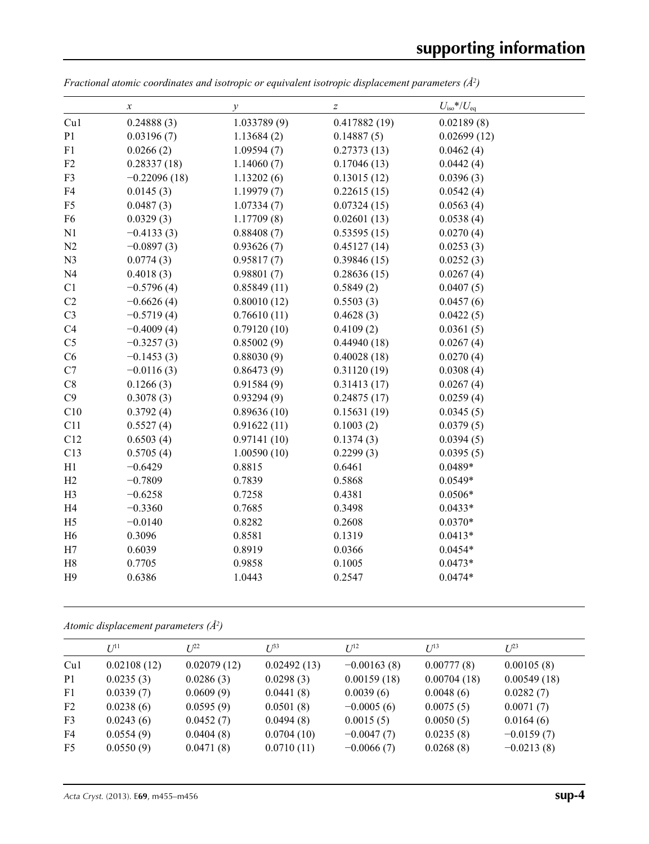| Cu1<br>0.24888(3)<br>1.033789(9)<br>0.417882(19)<br>0.02189(8)<br>P <sub>1</sub><br>0.14887(5)<br>0.02699(12)<br>0.03196(7)<br>1.13684(2)<br>0.0266(2)<br>0.0462(4)<br>F1<br>1.09594(7)<br>0.27373(13)<br>F2<br>0.28337(18)<br>1.14060(7)<br>0.17046(13)<br>0.0442(4)<br>$-0.22096(18)$<br>0.13015(12)<br>0.0396(3)<br>F3<br>1.13202(6)<br>F4<br>0.0145(3)<br>1.19979(7)<br>0.22615(15)<br>0.0542(4)<br>0.0487(3)<br>0.07324(15)<br>0.0563(4)<br>F <sub>5</sub><br>1.07334(7)<br>F <sub>6</sub><br>0.0329(3)<br>1.17709(8)<br>0.02601(13)<br>0.0538(4)<br>N1<br>$-0.4133(3)$<br>0.88408(7)<br>0.53595(15)<br>0.0270(4)<br>N2<br>$-0.0897(3)$<br>0.93626(7)<br>0.45127(14)<br>0.0253(3)<br>N <sub>3</sub><br>0.0774(3)<br>0.95817(7)<br>0.39846(15)<br>0.0252(3)<br>0.98801(7)<br>N <sub>4</sub><br>0.4018(3)<br>0.28636(15)<br>0.0267(4)<br>C1<br>$-0.5796(4)$<br>0.85849(11)<br>0.5849(2)<br>0.0407(5)<br>C2<br>$-0.6626(4)$<br>0.80010(12)<br>0.5503(3)<br>0.0457(6)<br>C <sub>3</sub><br>$-0.5719(4)$<br>0.76610(11)<br>0.4628(3)<br>0.0422(5)<br>C4<br>$-0.4009(4)$<br>0.79120(10)<br>0.4109(2)<br>0.0361(5)<br>C <sub>5</sub><br>$-0.3257(3)$<br>0.85002(9)<br>0.44940(18)<br>0.0267(4)<br>C6<br>$-0.1453(3)$<br>0.40028(18)<br>0.0270(4)<br>0.88030(9)<br>C7<br>$-0.0116(3)$<br>0.86473(9)<br>0.31120(19)<br>0.0308(4)<br>C8<br>0.1266(3)<br>0.91584(9)<br>0.0267(4)<br>0.31413(17)<br>C9<br>0.3078(3)<br>0.93294(9)<br>0.24875(17)<br>0.0259(4)<br>C10<br>0.89636(10)<br>0.15631(19)<br>0.3792(4)<br>0.0345(5)<br>C11<br>0.5527(4)<br>0.91622(11)<br>0.1003(2)<br>0.0379(5)<br>C12<br>0.6503(4)<br>0.97141(10)<br>0.1374(3)<br>0.0394(5)<br>C13<br>0.5705(4)<br>1.00590(10)<br>0.2299(3)<br>0.0395(5)<br>$-0.6429$<br>0.8815<br>0.6461<br>0.0489*<br>H1<br>$-0.7809$<br>0.7839<br>0.5868<br>$0.0549*$<br>H2<br>0.7258<br>$0.0506*$<br>H <sub>3</sub><br>$-0.6258$<br>0.4381<br>$-0.3360$<br>$0.0433*$<br>H4<br>0.7685<br>0.3498<br>$0.0370*$<br>H <sub>5</sub><br>$-0.0140$<br>0.8282<br>0.2608 |                | $\boldsymbol{x}$ | $\mathcal{Y}$ | $\boldsymbol{Z}$ | $U_{\text{iso}}$ */ $U_{\text{eq}}$ |
|--------------------------------------------------------------------------------------------------------------------------------------------------------------------------------------------------------------------------------------------------------------------------------------------------------------------------------------------------------------------------------------------------------------------------------------------------------------------------------------------------------------------------------------------------------------------------------------------------------------------------------------------------------------------------------------------------------------------------------------------------------------------------------------------------------------------------------------------------------------------------------------------------------------------------------------------------------------------------------------------------------------------------------------------------------------------------------------------------------------------------------------------------------------------------------------------------------------------------------------------------------------------------------------------------------------------------------------------------------------------------------------------------------------------------------------------------------------------------------------------------------------------------------------------------------------------------------------------------------------------------------------------------------------------------------------------------------------------------------------------------------------------------------------------------------------------------------------------------------------------------------------------------------------------------------------------------------------------------------------------------------|----------------|------------------|---------------|------------------|-------------------------------------|
|                                                                                                                                                                                                                                                                                                                                                                                                                                                                                                                                                                                                                                                                                                                                                                                                                                                                                                                                                                                                                                                                                                                                                                                                                                                                                                                                                                                                                                                                                                                                                                                                                                                                                                                                                                                                                                                                                                                                                                                                        |                |                  |               |                  |                                     |
|                                                                                                                                                                                                                                                                                                                                                                                                                                                                                                                                                                                                                                                                                                                                                                                                                                                                                                                                                                                                                                                                                                                                                                                                                                                                                                                                                                                                                                                                                                                                                                                                                                                                                                                                                                                                                                                                                                                                                                                                        |                |                  |               |                  |                                     |
|                                                                                                                                                                                                                                                                                                                                                                                                                                                                                                                                                                                                                                                                                                                                                                                                                                                                                                                                                                                                                                                                                                                                                                                                                                                                                                                                                                                                                                                                                                                                                                                                                                                                                                                                                                                                                                                                                                                                                                                                        |                |                  |               |                  |                                     |
|                                                                                                                                                                                                                                                                                                                                                                                                                                                                                                                                                                                                                                                                                                                                                                                                                                                                                                                                                                                                                                                                                                                                                                                                                                                                                                                                                                                                                                                                                                                                                                                                                                                                                                                                                                                                                                                                                                                                                                                                        |                |                  |               |                  |                                     |
|                                                                                                                                                                                                                                                                                                                                                                                                                                                                                                                                                                                                                                                                                                                                                                                                                                                                                                                                                                                                                                                                                                                                                                                                                                                                                                                                                                                                                                                                                                                                                                                                                                                                                                                                                                                                                                                                                                                                                                                                        |                |                  |               |                  |                                     |
|                                                                                                                                                                                                                                                                                                                                                                                                                                                                                                                                                                                                                                                                                                                                                                                                                                                                                                                                                                                                                                                                                                                                                                                                                                                                                                                                                                                                                                                                                                                                                                                                                                                                                                                                                                                                                                                                                                                                                                                                        |                |                  |               |                  |                                     |
|                                                                                                                                                                                                                                                                                                                                                                                                                                                                                                                                                                                                                                                                                                                                                                                                                                                                                                                                                                                                                                                                                                                                                                                                                                                                                                                                                                                                                                                                                                                                                                                                                                                                                                                                                                                                                                                                                                                                                                                                        |                |                  |               |                  |                                     |
|                                                                                                                                                                                                                                                                                                                                                                                                                                                                                                                                                                                                                                                                                                                                                                                                                                                                                                                                                                                                                                                                                                                                                                                                                                                                                                                                                                                                                                                                                                                                                                                                                                                                                                                                                                                                                                                                                                                                                                                                        |                |                  |               |                  |                                     |
|                                                                                                                                                                                                                                                                                                                                                                                                                                                                                                                                                                                                                                                                                                                                                                                                                                                                                                                                                                                                                                                                                                                                                                                                                                                                                                                                                                                                                                                                                                                                                                                                                                                                                                                                                                                                                                                                                                                                                                                                        |                |                  |               |                  |                                     |
|                                                                                                                                                                                                                                                                                                                                                                                                                                                                                                                                                                                                                                                                                                                                                                                                                                                                                                                                                                                                                                                                                                                                                                                                                                                                                                                                                                                                                                                                                                                                                                                                                                                                                                                                                                                                                                                                                                                                                                                                        |                |                  |               |                  |                                     |
|                                                                                                                                                                                                                                                                                                                                                                                                                                                                                                                                                                                                                                                                                                                                                                                                                                                                                                                                                                                                                                                                                                                                                                                                                                                                                                                                                                                                                                                                                                                                                                                                                                                                                                                                                                                                                                                                                                                                                                                                        |                |                  |               |                  |                                     |
|                                                                                                                                                                                                                                                                                                                                                                                                                                                                                                                                                                                                                                                                                                                                                                                                                                                                                                                                                                                                                                                                                                                                                                                                                                                                                                                                                                                                                                                                                                                                                                                                                                                                                                                                                                                                                                                                                                                                                                                                        |                |                  |               |                  |                                     |
|                                                                                                                                                                                                                                                                                                                                                                                                                                                                                                                                                                                                                                                                                                                                                                                                                                                                                                                                                                                                                                                                                                                                                                                                                                                                                                                                                                                                                                                                                                                                                                                                                                                                                                                                                                                                                                                                                                                                                                                                        |                |                  |               |                  |                                     |
|                                                                                                                                                                                                                                                                                                                                                                                                                                                                                                                                                                                                                                                                                                                                                                                                                                                                                                                                                                                                                                                                                                                                                                                                                                                                                                                                                                                                                                                                                                                                                                                                                                                                                                                                                                                                                                                                                                                                                                                                        |                |                  |               |                  |                                     |
|                                                                                                                                                                                                                                                                                                                                                                                                                                                                                                                                                                                                                                                                                                                                                                                                                                                                                                                                                                                                                                                                                                                                                                                                                                                                                                                                                                                                                                                                                                                                                                                                                                                                                                                                                                                                                                                                                                                                                                                                        |                |                  |               |                  |                                     |
|                                                                                                                                                                                                                                                                                                                                                                                                                                                                                                                                                                                                                                                                                                                                                                                                                                                                                                                                                                                                                                                                                                                                                                                                                                                                                                                                                                                                                                                                                                                                                                                                                                                                                                                                                                                                                                                                                                                                                                                                        |                |                  |               |                  |                                     |
|                                                                                                                                                                                                                                                                                                                                                                                                                                                                                                                                                                                                                                                                                                                                                                                                                                                                                                                                                                                                                                                                                                                                                                                                                                                                                                                                                                                                                                                                                                                                                                                                                                                                                                                                                                                                                                                                                                                                                                                                        |                |                  |               |                  |                                     |
|                                                                                                                                                                                                                                                                                                                                                                                                                                                                                                                                                                                                                                                                                                                                                                                                                                                                                                                                                                                                                                                                                                                                                                                                                                                                                                                                                                                                                                                                                                                                                                                                                                                                                                                                                                                                                                                                                                                                                                                                        |                |                  |               |                  |                                     |
|                                                                                                                                                                                                                                                                                                                                                                                                                                                                                                                                                                                                                                                                                                                                                                                                                                                                                                                                                                                                                                                                                                                                                                                                                                                                                                                                                                                                                                                                                                                                                                                                                                                                                                                                                                                                                                                                                                                                                                                                        |                |                  |               |                  |                                     |
|                                                                                                                                                                                                                                                                                                                                                                                                                                                                                                                                                                                                                                                                                                                                                                                                                                                                                                                                                                                                                                                                                                                                                                                                                                                                                                                                                                                                                                                                                                                                                                                                                                                                                                                                                                                                                                                                                                                                                                                                        |                |                  |               |                  |                                     |
|                                                                                                                                                                                                                                                                                                                                                                                                                                                                                                                                                                                                                                                                                                                                                                                                                                                                                                                                                                                                                                                                                                                                                                                                                                                                                                                                                                                                                                                                                                                                                                                                                                                                                                                                                                                                                                                                                                                                                                                                        |                |                  |               |                  |                                     |
|                                                                                                                                                                                                                                                                                                                                                                                                                                                                                                                                                                                                                                                                                                                                                                                                                                                                                                                                                                                                                                                                                                                                                                                                                                                                                                                                                                                                                                                                                                                                                                                                                                                                                                                                                                                                                                                                                                                                                                                                        |                |                  |               |                  |                                     |
|                                                                                                                                                                                                                                                                                                                                                                                                                                                                                                                                                                                                                                                                                                                                                                                                                                                                                                                                                                                                                                                                                                                                                                                                                                                                                                                                                                                                                                                                                                                                                                                                                                                                                                                                                                                                                                                                                                                                                                                                        |                |                  |               |                  |                                     |
|                                                                                                                                                                                                                                                                                                                                                                                                                                                                                                                                                                                                                                                                                                                                                                                                                                                                                                                                                                                                                                                                                                                                                                                                                                                                                                                                                                                                                                                                                                                                                                                                                                                                                                                                                                                                                                                                                                                                                                                                        |                |                  |               |                  |                                     |
|                                                                                                                                                                                                                                                                                                                                                                                                                                                                                                                                                                                                                                                                                                                                                                                                                                                                                                                                                                                                                                                                                                                                                                                                                                                                                                                                                                                                                                                                                                                                                                                                                                                                                                                                                                                                                                                                                                                                                                                                        |                |                  |               |                  |                                     |
|                                                                                                                                                                                                                                                                                                                                                                                                                                                                                                                                                                                                                                                                                                                                                                                                                                                                                                                                                                                                                                                                                                                                                                                                                                                                                                                                                                                                                                                                                                                                                                                                                                                                                                                                                                                                                                                                                                                                                                                                        |                |                  |               |                  |                                     |
|                                                                                                                                                                                                                                                                                                                                                                                                                                                                                                                                                                                                                                                                                                                                                                                                                                                                                                                                                                                                                                                                                                                                                                                                                                                                                                                                                                                                                                                                                                                                                                                                                                                                                                                                                                                                                                                                                                                                                                                                        |                |                  |               |                  |                                     |
|                                                                                                                                                                                                                                                                                                                                                                                                                                                                                                                                                                                                                                                                                                                                                                                                                                                                                                                                                                                                                                                                                                                                                                                                                                                                                                                                                                                                                                                                                                                                                                                                                                                                                                                                                                                                                                                                                                                                                                                                        |                |                  |               |                  |                                     |
|                                                                                                                                                                                                                                                                                                                                                                                                                                                                                                                                                                                                                                                                                                                                                                                                                                                                                                                                                                                                                                                                                                                                                                                                                                                                                                                                                                                                                                                                                                                                                                                                                                                                                                                                                                                                                                                                                                                                                                                                        |                |                  |               |                  |                                     |
|                                                                                                                                                                                                                                                                                                                                                                                                                                                                                                                                                                                                                                                                                                                                                                                                                                                                                                                                                                                                                                                                                                                                                                                                                                                                                                                                                                                                                                                                                                                                                                                                                                                                                                                                                                                                                                                                                                                                                                                                        |                |                  |               |                  |                                     |
|                                                                                                                                                                                                                                                                                                                                                                                                                                                                                                                                                                                                                                                                                                                                                                                                                                                                                                                                                                                                                                                                                                                                                                                                                                                                                                                                                                                                                                                                                                                                                                                                                                                                                                                                                                                                                                                                                                                                                                                                        | H <sub>6</sub> | 0.3096           | 0.8581        | 0.1319           | $0.0413*$                           |
| 0.6039<br>0.8919<br>0.0366<br>$0.0454*$<br>H7                                                                                                                                                                                                                                                                                                                                                                                                                                                                                                                                                                                                                                                                                                                                                                                                                                                                                                                                                                                                                                                                                                                                                                                                                                                                                                                                                                                                                                                                                                                                                                                                                                                                                                                                                                                                                                                                                                                                                          |                |                  |               |                  |                                     |
| 0.1005<br>H8<br>0.7705<br>0.9858<br>$0.0473*$                                                                                                                                                                                                                                                                                                                                                                                                                                                                                                                                                                                                                                                                                                                                                                                                                                                                                                                                                                                                                                                                                                                                                                                                                                                                                                                                                                                                                                                                                                                                                                                                                                                                                                                                                                                                                                                                                                                                                          |                |                  |               |                  |                                     |
| 0.6386<br>1.0443<br>0.2547<br>$0.0474*$<br>H9                                                                                                                                                                                                                                                                                                                                                                                                                                                                                                                                                                                                                                                                                                                                                                                                                                                                                                                                                                                                                                                                                                                                                                                                                                                                                                                                                                                                                                                                                                                                                                                                                                                                                                                                                                                                                                                                                                                                                          |                |                  |               |                  |                                     |

*Fractional atomic coordinates and isotropic or equivalent isotropic displacement parameters (Å<sup>2</sup>)* 

*Atomic displacement parameters (Å2 )*

|                | $U^{11}$    | $L^{22}$    | $U^{\beta 3}$ | $I^{12}$      | $U^{13}$    | $U^{23}$     |
|----------------|-------------|-------------|---------------|---------------|-------------|--------------|
| Cu1            | 0.02108(12) | 0.02079(12) | 0.02492(13)   | $-0.00163(8)$ | 0.00777(8)  | 0.00105(8)   |
| P <sub>1</sub> | 0.0235(3)   | 0.0286(3)   | 0.0298(3)     | 0.00159(18)   | 0.00704(18) | 0.00549(18)  |
| F1             | 0.0339(7)   | 0.0609(9)   | 0.0441(8)     | 0.0039(6)     | 0.0048(6)   | 0.0282(7)    |
| F2             | 0.0238(6)   | 0.0595(9)   | 0.0501(8)     | $-0.0005(6)$  | 0.0075(5)   | 0.0071(7)    |
| F <sub>3</sub> | 0.0243(6)   | 0.0452(7)   | 0.0494(8)     | 0.0015(5)     | 0.0050(5)   | 0.0164(6)    |
| F4             | 0.0554(9)   | 0.0404(8)   | 0.0704(10)    | $-0.0047(7)$  | 0.0235(8)   | $-0.0159(7)$ |
| F <sub>5</sub> | 0.0550(9)   | 0.0471(8)   | 0.0710(11)    | $-0.0066(7)$  | 0.0268(8)   | $-0.0213(8)$ |
|                |             |             |               |               |             |              |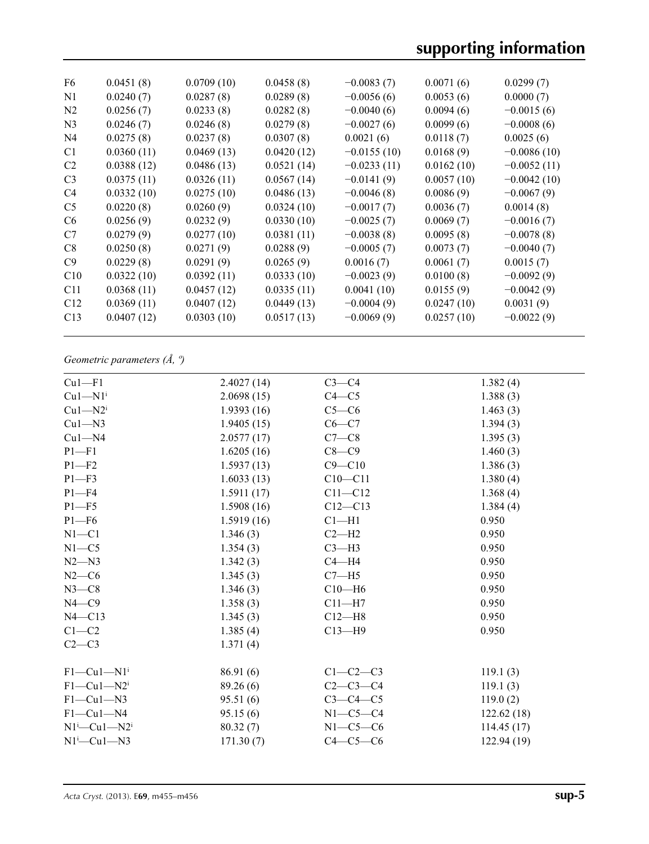| F6             | 0.0451(8)  | 0.0709(10) | 0.0458(8)  | $-0.0083(7)$  | 0.0071(6)  | 0.0299(7)     |
|----------------|------------|------------|------------|---------------|------------|---------------|
| N1             | 0.0240(7)  | 0.0287(8)  | 0.0289(8)  | $-0.0056(6)$  | 0.0053(6)  | 0.0000(7)     |
| N <sub>2</sub> | 0.0256(7)  | 0.0233(8)  | 0.0282(8)  | $-0.0040(6)$  | 0.0094(6)  | $-0.0015(6)$  |
| N <sub>3</sub> | 0.0246(7)  | 0.0246(8)  | 0.0279(8)  | $-0.0027(6)$  | 0.0099(6)  | $-0.0008(6)$  |
| N <sub>4</sub> | 0.0275(8)  | 0.0237(8)  | 0.0307(8)  | 0.0021(6)     | 0.0118(7)  | 0.0025(6)     |
| C <sub>1</sub> | 0.0360(11) | 0.0469(13) | 0.0420(12) | $-0.0155(10)$ | 0.0168(9)  | $-0.0086(10)$ |
| C <sub>2</sub> | 0.0388(12) | 0.0486(13) | 0.0521(14) | $-0.0233(11)$ | 0.0162(10) | $-0.0052(11)$ |
| C <sub>3</sub> | 0.0375(11) | 0.0326(11) | 0.0567(14) | $-0.0141(9)$  | 0.0057(10) | $-0.0042(10)$ |
| C <sub>4</sub> | 0.0332(10) | 0.0275(10) | 0.0486(13) | $-0.0046(8)$  | 0.0086(9)  | $-0.0067(9)$  |
| C <sub>5</sub> | 0.0220(8)  | 0.0260(9)  | 0.0324(10) | $-0.0017(7)$  | 0.0036(7)  | 0.0014(8)     |
| C <sub>6</sub> | 0.0256(9)  | 0.0232(9)  | 0.0330(10) | $-0.0025(7)$  | 0.0069(7)  | $-0.0016(7)$  |
| C7             | 0.0279(9)  | 0.0277(10) | 0.0381(11) | $-0.0038(8)$  | 0.0095(8)  | $-0.0078(8)$  |
| C8             | 0.0250(8)  | 0.0271(9)  | 0.0288(9)  | $-0.0005(7)$  | 0.0073(7)  | $-0.0040(7)$  |
| C9             | 0.0229(8)  | 0.0291(9)  | 0.0265(9)  | 0.0016(7)     | 0.0061(7)  | 0.0015(7)     |
| C10            | 0.0322(10) | 0.0392(11) | 0.0333(10) | $-0.0023(9)$  | 0.0100(8)  | $-0.0092(9)$  |
| C11            | 0.0368(11) | 0.0457(12) | 0.0335(11) | 0.0041(10)    | 0.0155(9)  | $-0.0042(9)$  |
| C12            | 0.0369(11) | 0.0407(12) | 0.0449(13) | $-0.0004(9)$  | 0.0247(10) | 0.0031(9)     |
| C13            | 0.0407(12) | 0.0303(10) | 0.0517(13) | $-0.0069(9)$  | 0.0257(10) | $-0.0022(9)$  |
|                |            |            |            |               |            |               |

# *Geometric parameters (Å, º)*

| $Cu1-F1$                       | 2.4027(14) | $C3-C4$     | 1.382(4)    |
|--------------------------------|------------|-------------|-------------|
| $Cu1-M1$ <sup>i</sup>          | 2.0698(15) | $C4 - C5$   | 1.388(3)    |
| $Cu1-M2i$                      | 1.9393(16) | $C5-C6$     | 1.463(3)    |
| $Cu1 - N3$                     | 1.9405(15) | $C6-C7$     | 1.394(3)    |
| $Cu1-M4$                       | 2.0577(17) | $C7-C8$     | 1.395(3)    |
| $P1 - F1$                      | 1.6205(16) | $C8-C9$     | 1.460(3)    |
| $P1 - F2$                      | 1.5937(13) | $C9 - C10$  | 1.386(3)    |
| $P1 - F3$                      | 1.6033(13) | $C10 - C11$ | 1.380(4)    |
| $P1 - F4$                      | 1.5911(17) | $C11 - C12$ | 1.368(4)    |
| $P1 - F5$                      | 1.5908(16) | $C12 - C13$ | 1.384(4)    |
| $P1 - F6$                      | 1.5919(16) | $Cl-H1$     | 0.950       |
| $N1 - C1$                      | 1.346(3)   | $C2-H2$     | 0.950       |
| $N1 - C5$                      | 1.354(3)   | $C3-H3$     | 0.950       |
| $N2 - N3$                      | 1.342(3)   | $C4 - H4$   | 0.950       |
| $N2-C6$                        | 1.345(3)   | $C7 - H5$   | 0.950       |
| $N3-C8$                        | 1.346(3)   | $C10-H6$    | 0.950       |
| $N4 - C9$                      | 1.358(3)   | $C11-H7$    | 0.950       |
| $N4 - C13$                     | 1.345(3)   | $C12-H8$    | 0.950       |
| $C1-C2$                        | 1.385(4)   | $C13 - H9$  | 0.950       |
| $C2-C3$                        | 1.371(4)   |             |             |
| $F1-Cu1-N1$ <sup>i</sup>       | 86.91 (6)  | $C1-C2-C3$  | 119.1(3)    |
| $F1-Cu1-N2$                    | 89.26 (6)  | $C2-C3-C4$  | 119.1(3)    |
| $F1-Cu1-N3$                    | 95.51(6)   | $C3-C4-C5$  | 119.0(2)    |
| $F1-Cu1-N4$                    | 95.15(6)   | $N1-C5-C4$  | 122.62(18)  |
| $N1^i$ —Cu $1$ —N $2^i$        | 80.32(7)   | $N1-C5-C6$  | 114.45(17)  |
| $N1$ <sup>i</sup> $—Cu1$ $—N3$ | 171.30(7)  | $C4-C5-C6$  | 122.94 (19) |
|                                |            |             |             |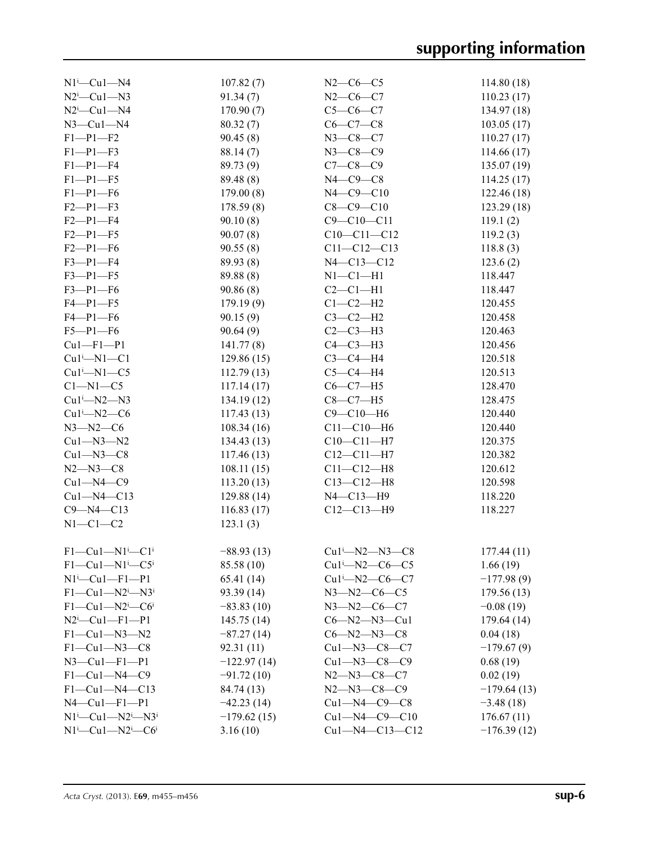| $N1^i$ -Cu $1$ -N4                                           | 107.82(7)     | $N2-C6-C5$               | 114.80(18)    |
|--------------------------------------------------------------|---------------|--------------------------|---------------|
| $N2^i$ -Cu1- $N3$                                            | 91.34(7)      | $N2-C6-C7$               | 110.23(17)    |
| $N2^i$ -Cu1- $N4$                                            | 170.90(7)     | $C5-C6-C7$               | 134.97(18)    |
| $N3$ –Cul–N4                                                 | 80.32(7)      | $C6-C7-C8$               | 103.05(17)    |
| $F1 - P1 - F2$                                               | 90.45(8)      | $N3 - C8 - C7$           | 110.27(17)    |
| $F1 - P1 - F3$                                               | 88.14 (7)     | $N3 - C8 - C9$           | 114.66(17)    |
| $F1-P1-F4$                                                   | 89.73 (9)     | $C7 - C8 - C9$           | 135.07(19)    |
| $F1-P1-F5$                                                   | 89.48 (8)     | $N4$ — $C9$ — $C8$       | 114.25(17)    |
| $F1-P1-F6$                                                   | 179.00(8)     | $N4 - C9 - C10$          | 122.46 (18)   |
| $F2 - P1 - F3$                                               | 178.59(8)     | $C8 - C9 - C10$          | 123.29(18)    |
| $F2-P1-F4$                                                   | 90.10(8)      | $C9 - C10 - C11$         | 119.1(2)      |
| $F2 - P1 - F5$                                               | 90.07(8)      | $C10 - C11 - C12$        | 119.2(3)      |
| $F2-P1-F6$                                                   | 90.55(8)      | $C11 - C12 - C13$        | 118.8(3)      |
| $F3 - P1 - F4$                                               | 89.93 (8)     | N4-C13-C12               | 123.6(2)      |
| $F3-P1-F5$                                                   | 89.88 (8)     | $N1-C1-H1$               | 118.447       |
| $F3-P1-F6$                                                   | 90.86(8)      | $C2-C1-H1$               | 118.447       |
| $F4 - P1 - F5$                                               |               | $C1-C2-H2$               | 120.455       |
|                                                              | 179.19(9)     |                          |               |
| $F4-P1-F6$                                                   | 90.15(9)      | $C3-C2-H2$               | 120.458       |
| $F5-P1-F6$                                                   | 90.64(9)      | $C2-C3-H3$               | 120.463       |
| $Cu1-F1-P1$                                                  | 141.77(8)     | $C4-C3-H3$               | 120.456       |
| $Cu1^i$ -N1- $Cl$                                            | 129.86(15)    | $C3-C4-H4$               | 120.518       |
| $Cu1^i$ -N1- $C5$                                            | 112.79(13)    | $C5-C4-H4$               | 120.513       |
| $C1 - N1 - C5$                                               | 117.14(17)    | $C6-C7-H5$               | 128.470       |
| $Cu1^i$ -N2-N3                                               | 134.19(12)    | $C8-C7-H5$               | 128.475       |
| $Cu1^i$ -N2- $C6$                                            | 117.43(13)    | $C9 - C10 - H6$          | 120.440       |
| $N3 - N2 - C6$                                               | 108.34(16)    | $C11 - C10 - H6$         | 120.440       |
| $Cu1 - N3 - N2$                                              | 134.43(13)    | $C10-C11-H7$             | 120.375       |
| $Cu1 - N3 - C8$                                              | 117.46(13)    | $C12 - C11 - H7$         | 120.382       |
| $N2 - N3 - C8$                                               | 108.11(15)    | $C11 - C12 - H8$         | 120.612       |
| $Cu1 - N4 - C9$                                              | 113.20(13)    | $C13 - C12 - H8$         | 120.598       |
| $Cu1 - N4 - C13$                                             | 129.88(14)    | $N4 - C13 - H9$          | 118.220       |
| $C9 - N4 - C13$                                              | 116.83(17)    | $C12 - C13 - H9$         | 118.227       |
| $N1-C1-C2$                                                   | 123.1(3)      |                          |               |
|                                                              |               |                          |               |
| $F1-Cu1-N1$ <sup>i</sup> -C1 <sup>i</sup>                    | $-88.93(13)$  | $Cu1^{i} - N2 - N3 - C8$ | 177.44(11)    |
| $F1-Cu1-N1$ <sup>i</sup> -C5 <sup>i</sup>                    | 85.58 (10)    | $Cu1^i$ —N2—C6—C5        | 1.66(19)      |
| $N1^{i}$ - Cu <sub>1</sub> - F <sub>1</sub> - P <sub>1</sub> | 65.41 (14)    | $Cu1^i$ -N2- $C6$ - $C7$ | $-177.98(9)$  |
| $F1-Cu1-N2^i-N3^i$                                           | 93.39(14)     | $N3 - N2 - C6 - C5$      | 179.56 (13)   |
| $F1-Cu1-N2$ <sup>i</sup> -C6 <sup>i</sup>                    | $-83.83(10)$  | $N3 - N2 - C6 - C7$      | $-0.08(19)$   |
| $N2^i$ -Cu1-F1-P1                                            | 145.75(14)    | $C6 - N2 - N3 - Cu1$     | 179.64(14)    |
| $F1-Cu1-N3-N2$                                               | $-87.27(14)$  | $C6 - N2 - N3 - C8$      | 0.04(18)      |
| $F1-Cu1-N3-C8$                                               | 92.31(11)     | $Cu1 - N3 - C8 - C7$     | $-179.67(9)$  |
| $N3$ —Cu1—F1—P1                                              | $-122.97(14)$ | $Cu1 - N3 - C8 - C9$     | 0.68(19)      |
| $F1-Cu1-N4-C9$                                               | $-91.72(10)$  | $N2 - N3 - C8 - C7$      | 0.02(19)      |
| $F1-Cu1-M4-C13$                                              | 84.74 (13)    | $N2 - N3 - C8 - C9$      | $-179.64(13)$ |
| $N4$ —Cu1—F1—P1                                              | $-42.23(14)$  | $Cu1 - N4 - C9 - C8$     | $-3.48(18)$   |
| $N1^{i}$ —Cu1—N2 <sup>i</sup> —N3 <sup>i</sup>               | $-179.62(15)$ | $Cu1 - N4 - C9 - C10$    | 176.67(11)    |
| $N1^i$ —Cu1—N2 <sup>i</sup> —C6 <sup>i</sup>                 | 3.16(10)      | $Cu1 - N4 - C13 - C12$   | $-176.39(12)$ |